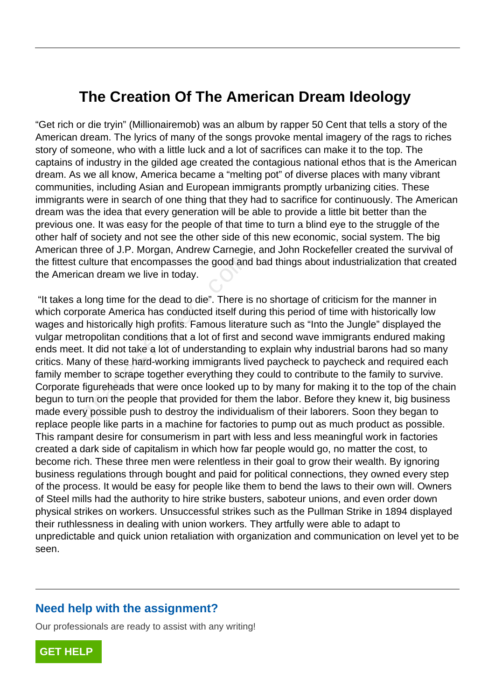## **The Creation Of The American Dream Ideology**

"Get rich or die tryin" (Millionairemob) was an album by rapper 50 Cent that tells a story of the American dream. The lyrics of many of the songs provoke mental imagery of the rags to riches story of someone, who with a little luck and a lot of sacrifices can make it to the top. The captains of industry in the gilded age created the contagious national ethos that is the American dream. As we all know, America became a "melting pot" of diverse places with many vibrant communities, including Asian and European immigrants promptly urbanizing cities. These immigrants were in search of one thing that they had to sacrifice for continuously. The American dream was the idea that every generation will be able to provide a little bit better than the previous one. It was easy for the people of that time to turn a blind eye to the struggle of the other half of society and not see the other side of this new economic, social system. The big American three of J.P. Morgan, Andrew Carnegie, and John Rockefeller created the survival of the fittest culture that encompasses the good and bad things about industrialization that created the American dream we live in today.

 "It takes a long time for the dead to die". There is no shortage of criticism for the manner in which corporate America has conducted itself during this period of time with historically low wages and historically high profits. Famous literature such as "Into the Jungle" displayed the vulgar metropolitan conditions that a lot of first and second wave immigrants endured making ends meet. It did not take a lot of understanding to explain why industrial barons had so many critics. Many of these hard-working immigrants lived paycheck to paycheck and required each family member to scrape together everything they could to contribute to the family to survive. Corporate figureheads that were once looked up to by many for making it to the top of the chain begun to turn on the people that provided for them the labor. Before they knew it, big business made every possible push to destroy the individualism of their laborers. Soon they began to replace people like parts in a machine for factories to pump out as much product as possible. This rampant desire for consumerism in part with less and less meaningful work in factories created a dark side of capitalism in which how far people would go, no matter the cost, to become rich. These three men were relentless in their goal to grow their wealth. By ignoring business regulations through bought and paid for political connections, they owned every step of the process. It would be easy for people like them to bend the laws to their own will. Owners of Steel mills had the authority to hire strike busters, saboteur unions, and even order down physical strikes on workers. Unsuccessful strikes such as the Pullman Strike in 1894 displayed their ruthlessness in dealing with union workers. They artfully were able to adapt to unpredictable and quick union retaliation with organization and communication on level yet to be seen. culture that encompasses the good and<br>can dream we live in today.<br>I long time for the dead to die". There is<br>orate America has conducted itself dul<br>I historically high profits. Famous litera<br>rropolitan conditions that a lo

## **Need help with the assignment?**

Our professionals are ready to assist with any writing!

**[GET HELP](https://my.gradesfixer.com/order?utm_campaign=pdf_sample)**